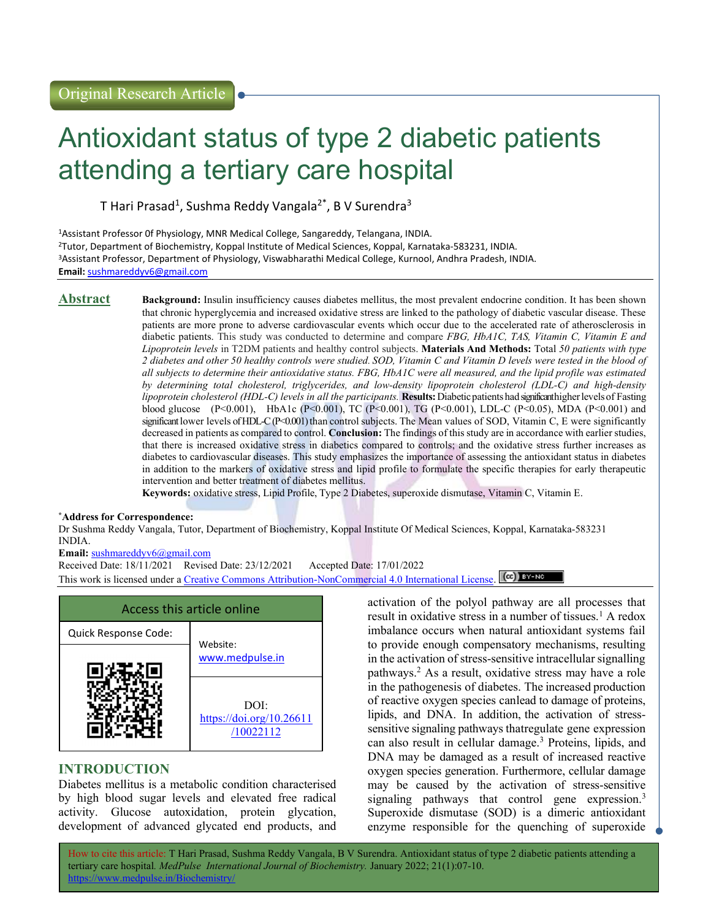# Antioxidant status of type 2 diabetic patients attending a tertiary care hospital

T Hari Prasad<sup>1</sup>, Sushma Reddy Vangala<sup>2\*</sup>, B V Surendra<sup>3</sup>

Assistant Professor 0f Physiology, MNR Medical College, Sangareddy, Telangana, INDIA. Tutor, Department of Biochemistry, Koppal Institute of Medical Sciences, Koppal, Karnataka-583231, INDIA. Assistant Professor, Department of Physiology, Viswabharathi Medical College, Kurnool, Andhra Pradesh, INDIA. Email: sushmareddyv6@gmail.com

Abstract Background: Insulin insufficiency causes diabetes mellitus, the most prevalent endocrine condition. It has been shown that chronic hyperglycemia and increased oxidative stress are linked to the pathology of diabetic vascular disease. These patients are more prone to adverse cardiovascular events which occur due to the accelerated rate of atherosclerosis in diabetic patients. This study was conducted to determine and compare FBG, HbA1C, TAS, Vitamin C, Vitamin E and Lipoprotein levels in T2DM patients and healthy control subjects. Materials And Methods: Total 50 patients with type 2 diabetes and other 50 healthy controls were studied. SOD, Vitamin C and Vitamin D levels were tested in the blood of all subjects to determine their antioxidative status. FBG, HbA1C were all measured, and the lipid profile was estimated by determining total cholesterol, triglycerides, and low-density lipoprotein cholesterol (LDL-C) and high-density lipoprotein cholesterol (HDL-C) levels in all the participants. Results: Diabetic patients had significant higher levels of Fasting blood glucose (P<0.001), HbA1c (P<0.001), TC (P<0.001), TG (P<0.001), LDL-C (P<0.05), MDA (P<0.001) and significant lower levels of HDL-C (P<0.001) than control subjects. The Mean values of SOD, Vitamin C, E were significantly decreased in patients as compared to control. Conclusion: The findings of this study are in accordance with earlier studies, that there is increased oxidative stress in diabetics compared to controls; and the oxidative stress further increases as diabetes to cardiovascular diseases. This study emphasizes the importance of assessing the antioxidant status in diabetes in addition to the markers of oxidative stress and lipid profile to formulate the specific therapies for early therapeutic intervention and better treatment of diabetes mellitus.

Keywords: oxidative stress, Lipid Profile, Type 2 Diabetes, superoxide dismutase, Vitamin C, Vitamin E.

# \*Address for Correspondence:

Dr Sushma Reddy Vangala, Tutor, Department of Biochemistry, Koppal Institute Of Medical Sciences, Koppal, Karnataka-583231 INDIA.

Email: sushmareddyv6@gmail.com

Received Date: 18/11/2021 Revised Date: 23/12/2021 Accepted Date: 17/01/2022 This work is licensed under a Creative Commons Attribution-NonCommercial 4.0 International License. (cc) BY-NO

| Access this article online |                                               |  |
|----------------------------|-----------------------------------------------|--|
| Quick Response Code:       | Website:                                      |  |
|                            | www.medpulse.in                               |  |
|                            | DOI:<br>https://doi.org/10.26611<br>/10022112 |  |

# INTRODUCTION

Diabetes mellitus is a metabolic condition characterised by high blood sugar levels and elevated free radical activity. Glucose autoxidation, protein glycation, development of advanced glycated end products, and activation of the polyol pathway are all processes that result in oxidative stress in a number of tissues.<sup>1</sup> A redox imbalance occurs when natural antioxidant systems fail to provide enough compensatory mechanisms, resulting in the activation of stress-sensitive intracellular signalling pathways.<sup>2</sup> As a result, oxidative stress may have a role in the pathogenesis of diabetes. The increased production of reactive oxygen species can lead to damage of proteins, lipids, and DNA. In addition, the activation of stresssensitive signaling pathways that regulate gene expression can also result in cellular damage.<sup>3</sup> Proteins, lipids, and DNA may be damaged as a result of increased reactive oxygen species generation. Furthermore, cellular damage may be caused by the activation of stress-sensitive signaling pathways that control gene expression.<sup>3</sup> Superoxide dismutase (SOD) is a dimeric antioxidant enzyme responsible for the quenching of superoxide

How to cite this article: T Hari Prasad, Sushma Reddy Vangala, B V Surendra. Antioxidant status of type 2 diabetic patients attending a tertiary care hospital. MedPulse International Journal of Biochemistry. January 2022; 21(1):07-10. https://www.medpulse.in/Biochemistry/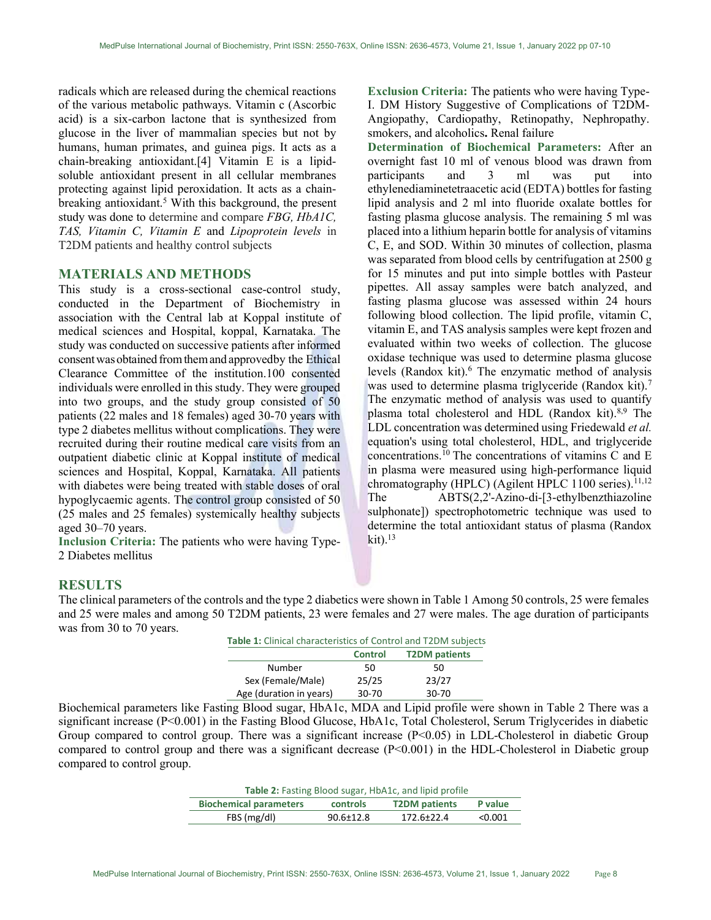radicals which are released during the chemical reactions of the various metabolic pathways. Vitamin c (Ascorbic acid) is a six-carbon lactone that is synthesized from glucose in the liver of mammalian species but not by humans, human primates, and guinea pigs. It acts as a chain-breaking antioxidant.[4] Vitamin E is a lipidsoluble antioxidant present in all cellular membranes protecting against lipid peroxidation. It acts as a chainbreaking antioxidant.<sup>5</sup> With this background, the present study was done to determine and compare FBG, HbA1C, TAS, Vitamin C, Vitamin E and Lipoprotein levels in T2DM patients and healthy control subjects

# MATERIALS AND METHODS

This study is a cross-sectional case-control study, conducted in the Department of Biochemistry in association with the Central lab at Koppal institute of medical sciences and Hospital, koppal, Karnataka. The study was conducted on successive patients after informed consent was obtained from them and approved by the Ethical Clearance Committee of the institution.100 consented individuals were enrolled in this study. They were grouped into two groups, and the study group consisted of 50 patients (22 males and 18 females) aged 30-70 years with type 2 diabetes mellitus without complications. They were recruited during their routine medical care visits from an outpatient diabetic clinic at Koppal institute of medical sciences and Hospital, Koppal, Karnataka. All patients with diabetes were being treated with stable doses of oral hypoglycaemic agents. The control group consisted of 50 (25 males and 25 females) systemically healthy subjects aged 30–70 years.

Inclusion Criteria: The patients who were having Type-2 Diabetes mellitus

Exclusion Criteria: The patients who were having Type-I. DM History Suggestive of Complications of T2DM-Angiopathy, Cardiopathy, Retinopathy, Nephropathy. smokers, and alcoholics. Renal failure

Determination of Biochemical Parameters: After an overnight fast 10 ml of venous blood was drawn from participants and 3 ml was put into ethylenediaminetetraacetic acid (EDTA) bottles for fasting lipid analysis and 2 ml into fluoride oxalate bottles for fasting plasma glucose analysis. The remaining 5 ml was placed into a lithium heparin bottle for analysis of vitamins C, E, and SOD. Within 30 minutes of collection, plasma was separated from blood cells by centrifugation at 2500 g for 15 minutes and put into simple bottles with Pasteur pipettes. All assay samples were batch analyzed, and fasting plasma glucose was assessed within 24 hours following blood collection. The lipid profile, vitamin C, vitamin E, and TAS analysis samples were kept frozen and evaluated within two weeks of collection. The glucose oxidase technique was used to determine plasma glucose levels (Randox kit).<sup>6</sup> The enzymatic method of analysis was used to determine plasma triglyceride (Randox kit).<sup>7</sup> The enzymatic method of analysis was used to quantify plasma total cholesterol and HDL (Randox kit). $8,9$  The LDL concentration was determined using Friedewald et al. equation's using total cholesterol, HDL, and triglyceride concentrations.<sup>10</sup> The concentrations of vitamins  $\overline{C}$  and  $\overline{E}$ in plasma were measured using high-performance liquid chromatography (HPLC) (Agilent HPLC 1100 series).<sup>11,12</sup> The ABTS(2,2'-Azino-di-[3-ethylbenzthiazoline sulphonate]) spectrophotometric technique was used to determine the total antioxidant status of plasma (Randox  $\mathrm{kit})$ .<sup>13</sup>

### RESULTS

The clinical parameters of the controls and the type 2 diabetics were shown in Table 1 Among 50 controls, 25 were females and 25 were males and among 50 T2DM patients, 23 were females and 27 were males. The age duration of participants was from 30 to 70 years.

| Table 1: Clinical characteristics of Control and T2DM subjects |                |                      |
|----------------------------------------------------------------|----------------|----------------------|
|                                                                | <b>Control</b> | <b>T2DM</b> patients |
| Number                                                         | 50             | 50                   |
| Sex (Female/Male)                                              | 25/25          | 23/27                |
| Age (duration in years)                                        | $30 - 70$      | $30 - 70$            |

Biochemical parameters like Fasting Blood sugar, HbA1c, MDA and Lipid profile were shown in Table 2 There was a significant increase (P<0.001) in the Fasting Blood Glucose, HbA1c, Total Cholesterol, Serum Triglycerides in diabetic Group compared to control group. There was a significant increase (P<0.05) in LDL-Cholesterol in diabetic Group compared to control group and there was a significant decrease  $(P<0.001)$  in the HDL-Cholesterol in Diabetic group compared to control group.

| <b>Table 2:</b> Fasting Blood sugar, HbA1c, and lipid profile |                 |                      |         |
|---------------------------------------------------------------|-----------------|----------------------|---------|
| <b>Biochemical parameters</b>                                 | controls        | <b>T2DM</b> patients | P value |
| FBS (mg/dl)                                                   | $90.6 \pm 12.8$ | 172.6±22.4           | < 0.001 |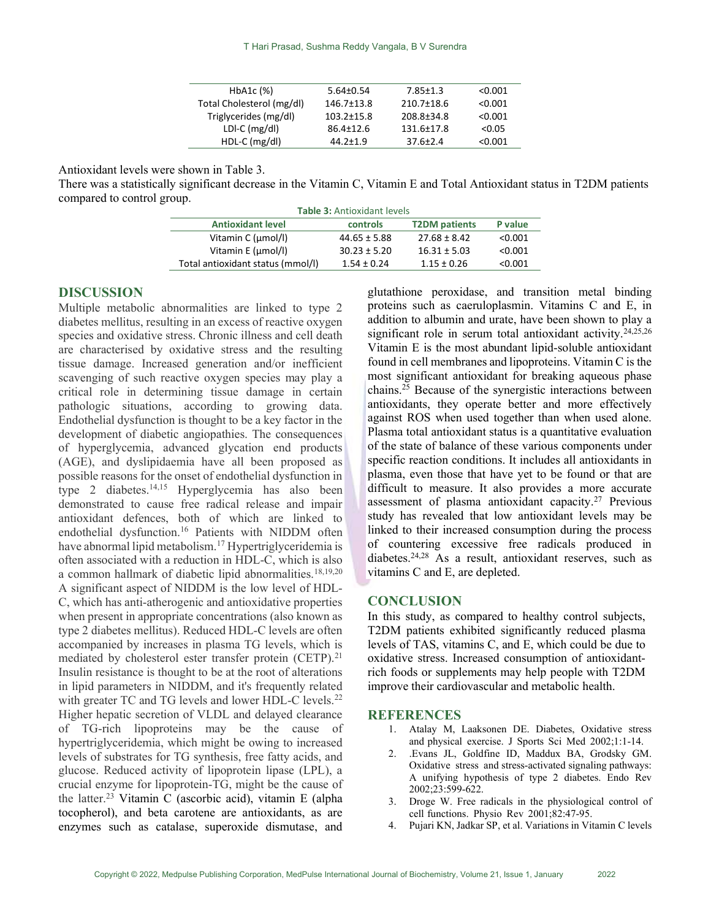| HbA1c (%)                 | $5.64 \pm 0.54$  | $7.85 \pm 1.3$ | < 0.001 |
|---------------------------|------------------|----------------|---------|
| Total Cholesterol (mg/dl) | 146.7±13.8       | 210.7±18.6     | < 0.001 |
| Triglycerides (mg/dl)     | $103.2 \pm 15.8$ | 208.8±34.8     | < 0.001 |
| LDI-C $(mg/d)$            | $86.4 \pm 12.6$  | 131.6±17.8     | < 0.05  |
| $HDL-C$ (mg/dl)           | $44.2 \pm 1.9$   | $37.6 \pm 2.4$ | < 0.001 |

Antioxidant levels were shown in Table 3.

There was a statistically significant decrease in the Vitamin C, Vitamin E and Total Antioxidant status in T2DM patients compared to control group.

| <b>Table 3: Antioxidant levels</b> |                  |                      |         |
|------------------------------------|------------------|----------------------|---------|
| <b>Antioxidant level</b>           | controls         | <b>T2DM</b> patients | P value |
| Vitamin C (µmol/l)                 | $44.65 \pm 5.88$ | $27.68 \pm 8.42$     | < 0.001 |
| Vitamin E (µmol/l)                 | $30.23 \pm 5.20$ | $16.31 \pm 5.03$     | < 0.001 |
| Total antioxidant status (mmol/l)  | $1.54 \pm 0.24$  | $1.15 \pm 0.26$      | < 0.001 |

### DISCUSSION

Multiple metabolic abnormalities are linked to type 2 diabetes mellitus, resulting in an excess of reactive oxygen species and oxidative stress. Chronic illness and cell death are characterised by oxidative stress and the resulting tissue damage. Increased generation and/or inefficient scavenging of such reactive oxygen species may play a critical role in determining tissue damage in certain pathologic situations, according to growing data. Endothelial dysfunction is thought to be a key factor in the development of diabetic angiopathies. The consequences of hyperglycemia, advanced glycation end products (AGE), and dyslipidaemia have all been proposed as possible reasons for the onset of endothelial dysfunction in type 2 diabetes.14,15 Hyperglycemia has also been demonstrated to cause free radical release and impair antioxidant defences, both of which are linked to endothelial dysfunction.<sup>16</sup> Patients with NIDDM often have abnormal lipid metabolism.<sup>17</sup> Hypertriglyceridemia is often associated with a reduction in HDL-C, which is also a common hallmark of diabetic lipid abnormalities.<sup>18,19,20</sup> A significant aspect of NIDDM is the low level of HDL-C, which has anti-atherogenic and antioxidative properties when present in appropriate concentrations (also known as type 2 diabetes mellitus). Reduced HDL-C levels are often accompanied by increases in plasma TG levels, which is mediated by cholesterol ester transfer protein (CETP).<sup>21</sup> Insulin resistance is thought to be at the root of alterations in lipid parameters in NIDDM, and it's frequently related with greater TC and TG levels and lower HDL-C levels.<sup>22</sup> Higher hepatic secretion of VLDL and delayed clearance of TG-rich lipoproteins may be the cause of hypertriglyceridemia, which might be owing to increased levels of substrates for TG synthesis, free fatty acids, and glucose. Reduced activity of lipoprotein lipase (LPL), a crucial enzyme for lipoprotein-TG, might be the cause of the latter.<sup>23</sup> Vitamin C (ascorbic acid), vitamin E (alpha tocopherol), and beta carotene are antioxidants, as are enzymes such as catalase, superoxide dismutase, and

glutathione peroxidase, and transition metal binding proteins such as caeruloplasmin. Vitamins C and E, in addition to albumin and urate, have been shown to play a significant role in serum total antioxidant activity.<sup>24,25,26</sup> Vitamin E is the most abundant lipid-soluble antioxidant found in cell membranes and lipoproteins. Vitamin C is the most significant antioxidant for breaking aqueous phase chains.<sup>25</sup> Because of the synergistic interactions between antioxidants, they operate better and more effectively against ROS when used together than when used alone. Plasma total antioxidant status is a quantitative evaluation of the state of balance of these various components under specific reaction conditions. It includes all antioxidants in plasma, even those that have yet to be found or that are difficult to measure. It also provides a more accurate assessment of plasma antioxidant capacity.<sup>27</sup> Previous study has revealed that low antioxidant levels may be linked to their increased consumption during the process of countering excessive free radicals produced in diabetes.24,28 As a result, antioxidant reserves, such as vitamins C and E, are depleted.

## **CONCLUSION**

In this study, as compared to healthy control subjects, T2DM patients exhibited significantly reduced plasma levels of TAS, vitamins C, and E, which could be due to oxidative stress. Increased consumption of antioxidantrich foods or supplements may help people with T2DM improve their cardiovascular and metabolic health.

# **REFERENCES**

- 1. Atalay M, Laaksonen DE. Diabetes, Oxidative stress and physical exercise. J Sports Sci Med 2002;1:1-14.
- 2. .Evans JL, Goldfine ID, Maddux BA, Grodsky GM. Oxidative stress and stress-activated signaling pathways: A unifying hypothesis of type 2 diabetes. Endo Rev 2002;23:599-622.
- 3. Droge W. Free radicals in the physiological control of cell functions. Physio Rev 2001;82:47-95.
- 4. Pujari KN, Jadkar SP, et al. Variations in Vitamin C levels